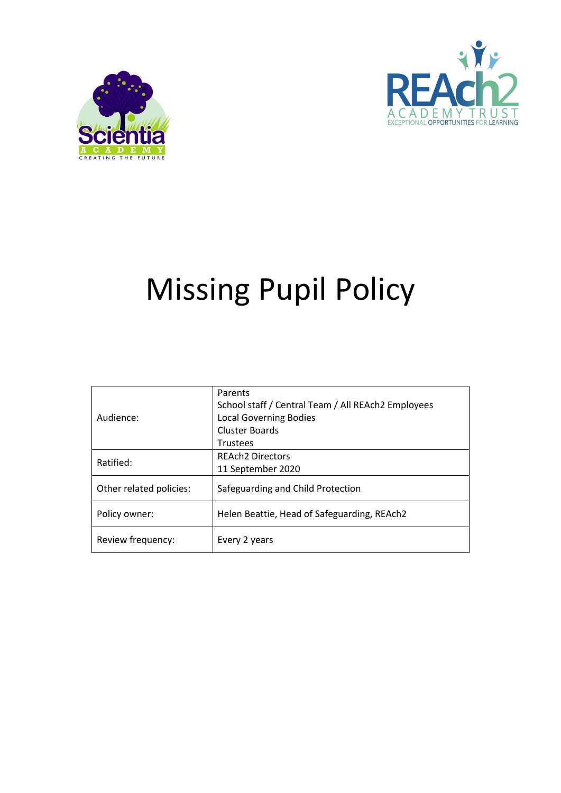



# Missing Pupil Policy

| Audience:               | Parents<br>School staff / Central Team / All REAch2 Employees<br><b>Local Governing Bodies</b><br>Cluster Boards |
|-------------------------|------------------------------------------------------------------------------------------------------------------|
|                         | <b>Trustees</b>                                                                                                  |
| Ratified:               | <b>REAch2 Directors</b>                                                                                          |
|                         | 11 September 2020                                                                                                |
| Other related policies: | Safeguarding and Child Protection                                                                                |
| Policy owner:           | Helen Beattie, Head of Safeguarding, REAch2                                                                      |
| Review frequency:       | Every 2 years                                                                                                    |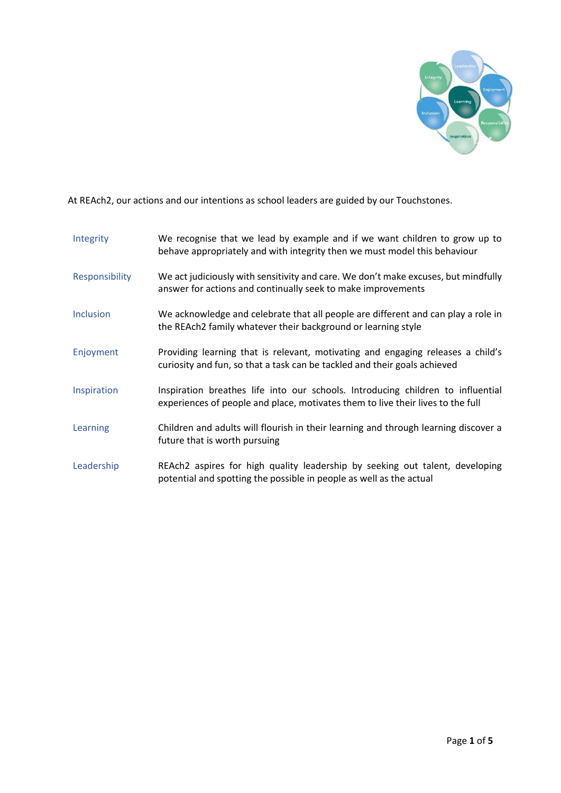

At REAch2, our actions and our intentions as school leaders are guided by our Touchstones.

| Integrity        | We recognise that we lead by example and if we want children to grow up to<br>behave appropriately and with integrity then we must model this behaviour            |
|------------------|--------------------------------------------------------------------------------------------------------------------------------------------------------------------|
| Responsibility   | We act judiciously with sensitivity and care. We don't make excuses, but mindfully<br>answer for actions and continually seek to make improvements                 |
| <b>Inclusion</b> | We acknowledge and celebrate that all people are different and can play a role in<br>the REAch2 family whatever their background or learning style                 |
| Enjoyment        | Providing learning that is relevant, motivating and engaging releases a child's<br>curiosity and fun, so that a task can be tackled and their goals achieved       |
| Inspiration      | Inspiration breathes life into our schools. Introducing children to influential<br>experiences of people and place, motivates them to live their lives to the full |
| Learning         | Children and adults will flourish in their learning and through learning discover a<br>future that is worth pursuing                                               |
| Leadership       | REAch2 aspires for high quality leadership by seeking out talent, developing<br>potential and spotting the possible in people as well as the actual                |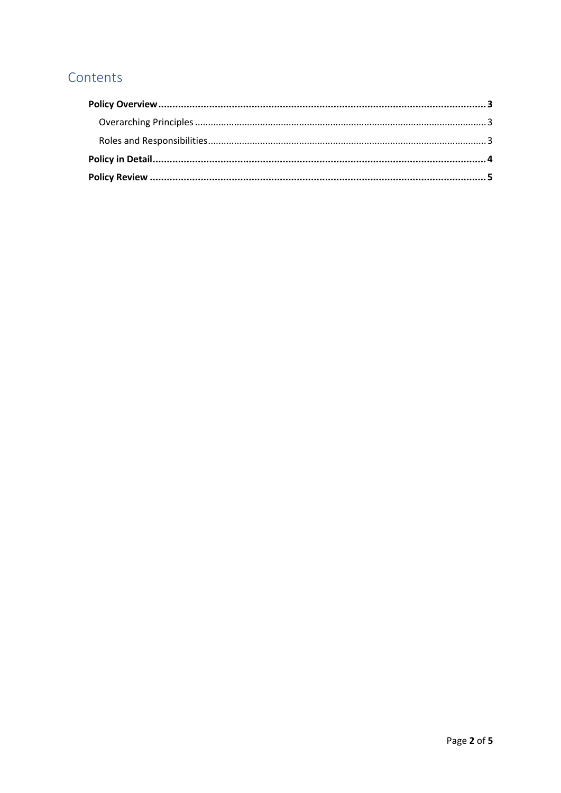## Contents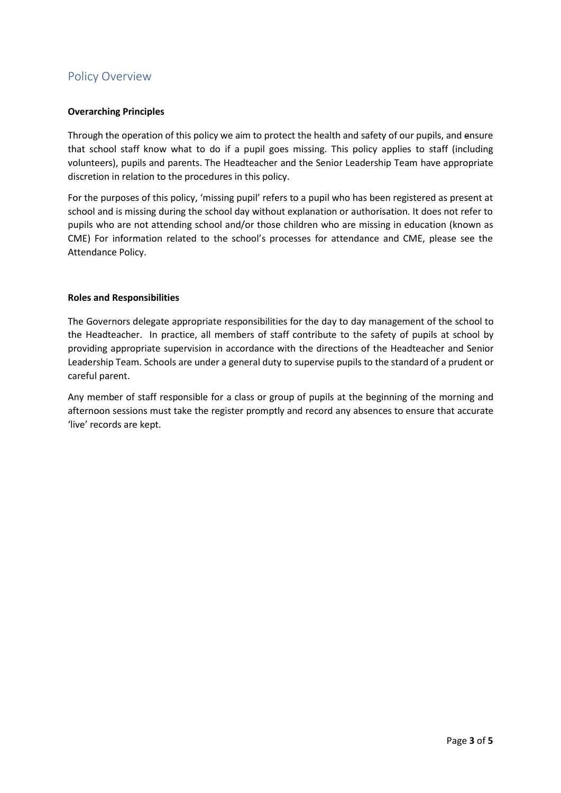## <span id="page-3-0"></span>Policy Overview

#### <span id="page-3-1"></span>**Overarching Principles**

Through the operation of this policy we aim to protect the health and safety of our pupils, and ensure that school staff know what to do if a pupil goes missing. This policy applies to staff (including volunteers), pupils and parents. The Headteacher and the Senior Leadership Team have appropriate discretion in relation to the procedures in this policy.

For the purposes of this policy, 'missing pupil' refers to a pupil who has been registered as present at school and is missing during the school day without explanation or authorisation. It does not refer to pupils who are not attending school and/or those children who are missing in education (known as CME) For information related to the school's processes for attendance and CME, please see the Attendance Policy.

#### <span id="page-3-2"></span>**Roles and Responsibilities**

The Governors delegate appropriate responsibilities for the day to day management of the school to the Headteacher. In practice, all members of staff contribute to the safety of pupils at school by providing appropriate supervision in accordance with the directions of the Headteacher and Senior Leadership Team. Schools are under a general duty to supervise pupils to the standard of a prudent or careful parent.

Any member of staff responsible for a class or group of pupils at the beginning of the morning and afternoon sessions must take the register promptly and record any absences to ensure that accurate 'live' records are kept.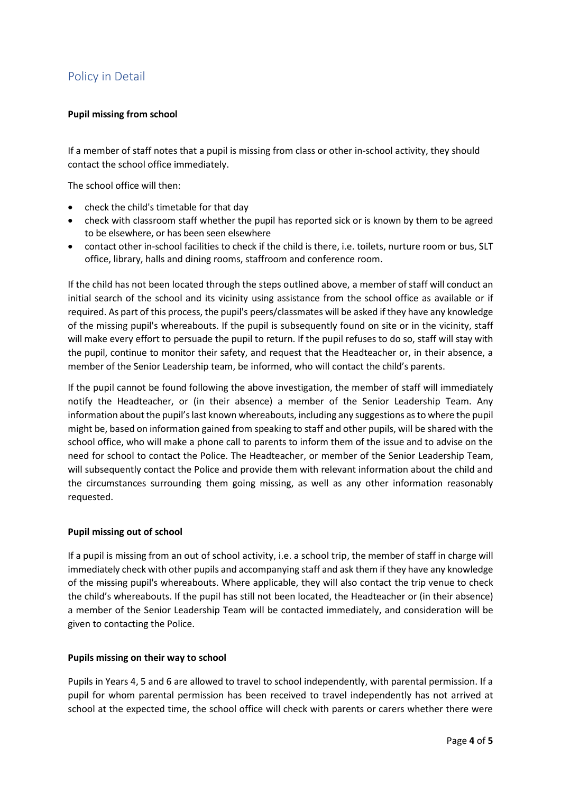## <span id="page-4-0"></span>Policy in Detail

#### **Pupil missing from school**

If a member of staff notes that a pupil is missing from class or other in-school activity, they should contact the school office immediately.

The school office will then:

- check the child's timetable for that day
- check with classroom staff whether the pupil has reported sick or is known by them to be agreed to be elsewhere, or has been seen elsewhere
- contact other in-school facilities to check if the child is there, i.e. toilets, nurture room or bus, SLT office, library, halls and dining rooms, staffroom and conference room.

If the child has not been located through the steps outlined above, a member of staff will conduct an initial search of the school and its vicinity using assistance from the school office as available or if required. As part of this process, the pupil's peers/classmates will be asked if they have any knowledge of the missing pupil's whereabouts. If the pupil is subsequently found on site or in the vicinity, staff will make every effort to persuade the pupil to return. If the pupil refuses to do so, staff will stay with the pupil, continue to monitor their safety, and request that the Headteacher or, in their absence, a member of the Senior Leadership team, be informed, who will contact the child's parents.

If the pupil cannot be found following the above investigation, the member of staff will immediately notify the Headteacher, or (in their absence) a member of the Senior Leadership Team. Any information about the pupil's last known whereabouts, including any suggestions as to where the pupil might be, based on information gained from speaking to staff and other pupils, will be shared with the school office, who will make a phone call to parents to inform them of the issue and to advise on the need for school to contact the Police. The Headteacher, or member of the Senior Leadership Team, will subsequently contact the Police and provide them with relevant information about the child and the circumstances surrounding them going missing, as well as any other information reasonably requested.

#### **Pupil missing out of school**

If a pupil is missing from an out of school activity, i.e. a school trip, the member of staff in charge will immediately check with other pupils and accompanying staff and ask them if they have any knowledge of the missing pupil's whereabouts. Where applicable, they will also contact the trip venue to check the child's whereabouts. If the pupil has still not been located, the Headteacher or (in their absence) a member of the Senior Leadership Team will be contacted immediately, and consideration will be given to contacting the Police.

#### **Pupils missing on their way to school**

Pupils in Years 4, 5 and 6 are allowed to travel to school independently, with parental permission. If a pupil for whom parental permission has been received to travel independently has not arrived at school at the expected time, the school office will check with parents or carers whether there were